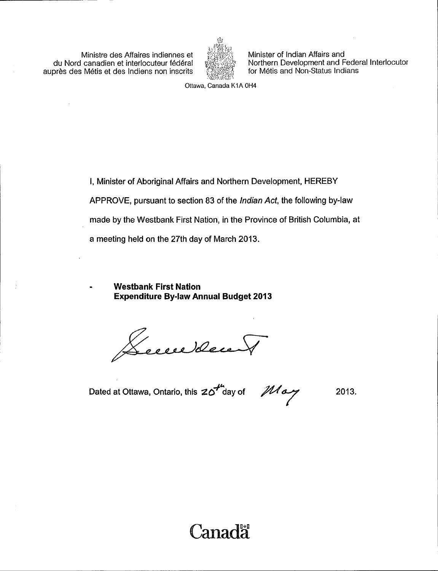Ministre des Affaires indiennes et du Nord canadien et interlocuteur federal auprès des Métis et des Indiens non inscrits



Minister of Indian Affairs and Northern Development and Federal Interlocutor for Métis and Non-Status Indians

Ottawa, Canada K1A OH4

I, Minister of Aboriginal Affairs and Northern Development, HEREBY APPROVE, pursuant to section 83 of the Indian Act, the following by-law made by the Westbank First Nation, in the Province of British Columbia, at a meeting held on the 27th day of March 2013.

Westbank First Nation Expenditure By -law Annual Budget 2013

Lecce deux

Dated at Ottawa, Ontario, this  $20<sup>th</sup>$  day of  $10<sup>th</sup>$  day

2013.

# Canada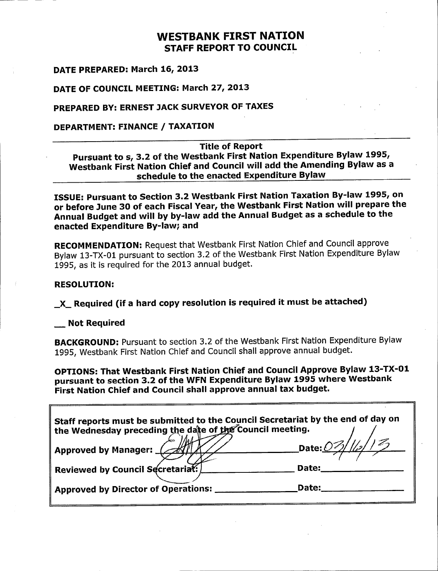## WESTBANK FIRST NATION STAFF REPORT TO COUNCIL

#### DATE PREPARED: March 16, 2013

### DATE OF COUNCIL MEETING: March 27, 2013

## PREPARED BY: ERNEST JACK SURVEYOR OF TAXES

## DEPARTMENT: FINANCE / TAXATION

#### Title of Report

Pursuant to s, 3.2 of the Westbank First Nation Expenditure Bylaw 1995, Westbank First Nation Chief and Council will add the Amending Bylaw as <sup>a</sup> schedule to the enacted Expenditure Bylaw

ISSUE: Pursuant to Section 3. 2 Westbank First Nation Taxation By -law 1995, on or before June 30 of each Fiscal Year, the Westbank First Nation will prepare the Annual Budget and will by by -law add the Annual Budget as <sup>a</sup> schedule to the enacted Expenditure By -law; and

RECOMMENDATION: Request that Westbank First Nation Chief and Council approve Bylaw 13 -TX -01 pursuant to section 3. 2 of the Westbank First Nation Expenditure Bylaw 1995, as it is required for the 2013 annual budget.

#### RESOLUTION:

X\_ Required ( if <sup>a</sup> hard copy resolution is required it must be attached)

#### Not Required

BACKGROUND: Pursuant to section 3.2 of the Westbank First Nation Expenditure Bylaw 1995, Westbank First Nation Chief and Council shall approve annual budget.

OPTIONS: That Westbank First Nation Chief and Council Approve Bylaw 13-TX-01 pursuant to section 3.2 of the WFN Expenditure Bylaw 1995 where Westbank First Nation Chief and Council shall approve annual tax budget.

| $\parallel$ Staff reports must be submitted to the Council Secretariat by the end of day on<br>the Wednesday preceding the date of the Council meeting. |                 |  |
|---------------------------------------------------------------------------------------------------------------------------------------------------------|-----------------|--|
| $\parallel$ Approved by Manager: $\Box$                                                                                                                 | Date: 03/1/2/12 |  |
| Reviewed by Council Secretariat:                                                                                                                        | Date:           |  |
| Approved by Director of Operations:                                                                                                                     | Date:           |  |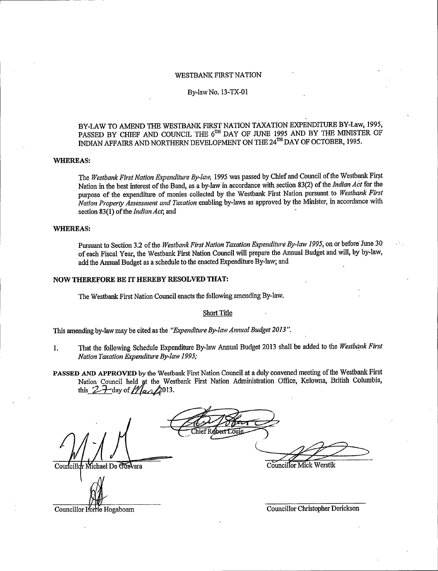#### WESTBANK FIRST NATION

#### By -law No. 13 -TX -01

#### BY -LAW TO AMEND THE WESTBANK FIRST NATION TAXATION EXPENDITURE BY -Law, 1995, PASSED BY CHIEF AND COUNCIL THE 6<sup>th</sup> DAY OF JUNE 1995 AND BY THE MINISTER OF INDIAN AFFAIRS AND NORTHERN DEVELOPMENT ON THE 24<sup>TH</sup> DAY OF OCTOBER, 1995.

#### WHEREAS:

The Westbank First Nation Expenditure By-law, 1995 was passed by Chief and Council of the Westbank First Nation in the best interest of the Band, as a by-law in accordance with section 83(2) of the Indian Act for the purpose of the expenditure of monies collected by the Westbank First Nation pursuant to Westbank First Nation Property Assessment and Taxation enabling by -laws as approved by the Minister, in accordance with section 83(1) of the Indian Act; and

#### WHEREAS:

Pursuant to Section 3.2 of the Westbank First Nation Taxation Expenditure By-law 1995, on or before June 30 of each Fiscal Year, the Westbank First Nation Council will prepare the Annual Budget and will, by by -law, add the Annual Budget as a schedule to the enacted Expenditure By -law; and

#### NOW THEREFORE BE IT HEREBY RESOLVED THAT:

The Westbank First Nation Council enacts the following amending By -law.

#### Short Title

This amending by-law may be cited as the "Expenditure By-law Annual Budget 2013".

- 1. That the following Schedule Expenditure By-law Annual Budget 2013 shall be added to the Westbank First Nation Taxation Expenditure By -law 1995;
- PASSED AND APPROVED by the Westbank First Nation Council at a duly convened meeting of the Westbank First Nation Council held at the Westbank First Nation Administration Office, Kelowna, British Columbia, -day of  $\mathcal{N}$  and 2013.

Councillor Michael De Guevara entry the Councillor Mick Werstik

Councillor Lorrie Hogaboam Councillor Councillor Christopher Derickson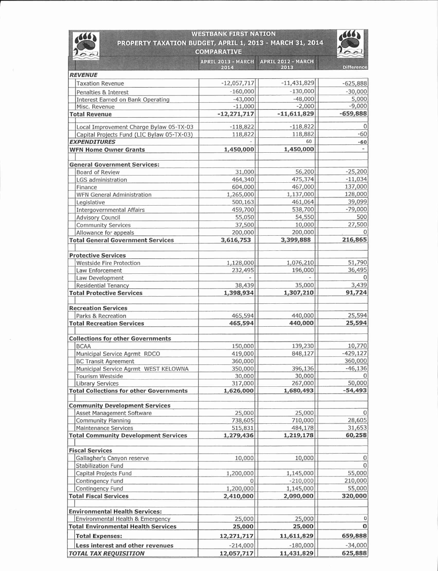| <b>WESTBANK FIRST NATION</b><br>PROPERTY TAXATION BUDGET, APRIL 1, 2013 - MARCH 31, 2014<br><b>COMPARATIVE</b> |                      |                      |                          |  |
|----------------------------------------------------------------------------------------------------------------|----------------------|----------------------|--------------------------|--|
|                                                                                                                |                      |                      |                          |  |
| <b>REVENUE</b>                                                                                                 |                      |                      |                          |  |
| <b>Taxation Revenue</b>                                                                                        | $-12,057,717$        | $-11,431,829$        | $-625,888$               |  |
| Penalties & Interest                                                                                           | $-160,000$           | $-130,000$           | $-30,000$                |  |
| Interest Earned on Bank Operating                                                                              | $-43,000$            | $-48,000$            | 5,000                    |  |
| Misc. Revenue                                                                                                  | $-11,000$            | $-2,000$             | $-9,000$                 |  |
| <b>Total Revenue</b>                                                                                           | $-12,271,717$        | $-11,611,829$        | $-659,888$               |  |
| Local Improvement Charge Bylaw 05-TX-03                                                                        | $-118,822$           | $-118,822$           | $\Omega$                 |  |
| Capital Projects Fund (LIC Bylaw 05-TX-03)                                                                     | 118,822              | 118,882              | $-60$                    |  |
| <b>EXPENDITURES</b>                                                                                            |                      | 60                   | $-60$                    |  |
| <b>WFN Home Owner Grants</b>                                                                                   | 1,450,000            | 1,450,000            | $\overline{\phantom{0}}$ |  |
| <b>General Government Services:</b>                                                                            |                      |                      |                          |  |
| Board of Review                                                                                                | 31,000               | 56,200               | $-25,200$                |  |
| LGS administration                                                                                             | 464,340              | 475,374              | $-11,034$                |  |
| Finance                                                                                                        | 604,000              | 467,000              | 137,000                  |  |
| <b>WFN General Administration</b>                                                                              | 1,265,000            | 1,137,000            | 128,000                  |  |
| Legislative                                                                                                    | 500,163              | 461,064              | 39,099                   |  |
| <b>Intergovernmental Affairs</b>                                                                               | 459,700              | 538,700              | $-79,000$                |  |
| <b>Advisory Council</b>                                                                                        | 55,050               | 54,550               | 500                      |  |
| <b>Community Services</b>                                                                                      | 37,500               | 10,000               | 27,500                   |  |
| Allowance for appeals                                                                                          | 200,000              | 200,000              | $\Omega$                 |  |
| <b>Total General Government Services</b>                                                                       | 3,616,753            | 3,399,888            | 216,865                  |  |
| <b>Protective Services</b>                                                                                     |                      |                      |                          |  |
| <b>Westside Fire Protection</b>                                                                                | 1,128,000            | 1,076,210            | 51,790                   |  |
| Law Enforcement                                                                                                | 232,495              | 196,000              | 36,495                   |  |
| Law Development                                                                                                |                      |                      |                          |  |
| <b>Residential Tenancy</b>                                                                                     | 38,439               | 35,000               | 3,439                    |  |
| <b>Total Protective Services</b>                                                                               | 1,398,934            | 1,307,210            | 91,724                   |  |
| <b>Recreation Services</b>                                                                                     |                      |                      |                          |  |
| Parks & Recreation                                                                                             | 465,594              | 440,000              | 25,594                   |  |
| <b>Total Recreation Services</b>                                                                               | 465,594              | 440,000              | 25,594                   |  |
|                                                                                                                |                      |                      |                          |  |
| <b>Collections for other Governments</b>                                                                       |                      |                      |                          |  |
| <b>BCAA</b>                                                                                                    | 150,000              | 139,230              | 10,770                   |  |
| Municipal Service Agrmt RDCO                                                                                   | 419,000              | 848,127              | $-429,127$               |  |
| <b>BC Transit Agreement</b>                                                                                    | 360,000              |                      | 360,000                  |  |
| Municipal Service Agrmt WEST KELOWNA                                                                           | 350,000              | 396,136              | $-46,136$                |  |
| <b>Tourism Westside</b>                                                                                        | 30,000               | 30,000               |                          |  |
| <b>Library Services</b><br><b>Total Collections for other Governments</b>                                      | 317,000<br>1,626,000 | 267,000<br>1,680,493 | 50,000<br>$-54,493$      |  |
|                                                                                                                |                      |                      |                          |  |
| <b>Community Development Services</b>                                                                          |                      |                      |                          |  |
| Asset Management Software                                                                                      | 25,000               | 25,000               | $\Omega$                 |  |
| Community Planning                                                                                             | 738,605              | 710,000              | 28,605                   |  |
| <b>Maintenance Services</b>                                                                                    | 515,831              | 484,178              | 31,653                   |  |
| <b>Total Community Development Services</b>                                                                    | 1,279,436            | 1,219,178            | 60,258                   |  |
| <b>Fiscal Services</b>                                                                                         |                      |                      |                          |  |
| Gallagher's Canyon reserve                                                                                     | 10,000               | 10,000               | 0                        |  |
| Stabilization Fund                                                                                             |                      |                      | $\Omega$                 |  |
| Capital Projects Fund                                                                                          | 1,200,000            | 1,145,000            | 55,000                   |  |
| Contingency Fund                                                                                               | 0                    | $-210,000$           | 210,000                  |  |
| Contingency Fund                                                                                               | 1,200,000            | 1,145,000            | 55,000                   |  |
| <b>Total Fiscal Services</b>                                                                                   | 2,410,000            | 2,090,000            | 320,000                  |  |
| <b>Environmental Health Services:</b>                                                                          |                      |                      |                          |  |
| Environmental Health & Emergency                                                                               | 25,000               | 25,000               | 0                        |  |
| <b>Total Environmental Health Services</b>                                                                     | 25,000               | 25,000               | $\bf{O}$                 |  |
| <b>Total Expenses:</b>                                                                                         | 12,271,717           | 11,611,829           | 659,888                  |  |
| Less interest and other revenues                                                                               | $-214,000$           | $-180,000$           | $-34,000$                |  |
| <b>TOTAL TAX REQUISITION</b>                                                                                   | 12,057,717           | 11,431,829           | 625,888                  |  |
|                                                                                                                |                      |                      |                          |  |